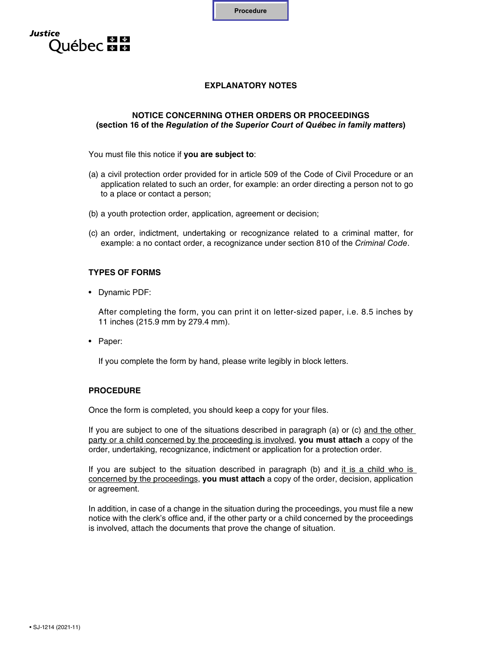**Procedure**



# **EXPLANATORY NOTES**

#### **NOTICE CONCERNING OTHER ORDERS OR PROCEEDINGS (section 16 of the** *Regulation of the Superior Court of Québec in family matters***)**

You must file this notice if **you are subject to**:

- (a) a civil protection order provided for in article 509 of the Code of Civil Procedure or an application related to such an order, for example: an order directing a person not to go to a place or contact a person;
- (b) a youth protection order, application, agreement or decision;
- (c) an order, indictment, undertaking or recognizance related to a criminal matter, for example: a no contact order, a recognizance under section 810 of the *Criminal Code*.

### **TYPES OF FORMS**

• Dynamic PDF:

After completing the form, you can print it on letter-sized paper, i.e. 8.5 inches by 11 inches  $(215.9 \text{ mm})$  by 279.4 mm).

• Paper:

If you complete the form by hand, please write legibly in block letters.

# **PROCEDURE**

Once the form is completed, you should keep a copy for your files.

If you are subject to one of the situations described in paragraph (a) or (c) and the other party or a child concerned by the proceeding is involved, **you must attach** a copy of the order, undertaking, recognizance, indictment or application for a protection order.

If you are subject to the situation described in paragraph (b) and it is a child who is concerned by the proceedings, **you must attach** a copy of the order, decision, application or agreement.

In addition, in case of a change in the situation during the proceedings, you must file a new notice with the clerk's office and, if the other party or a child concerned by the proceedings is involved, attach the documents that prove the change of situation.